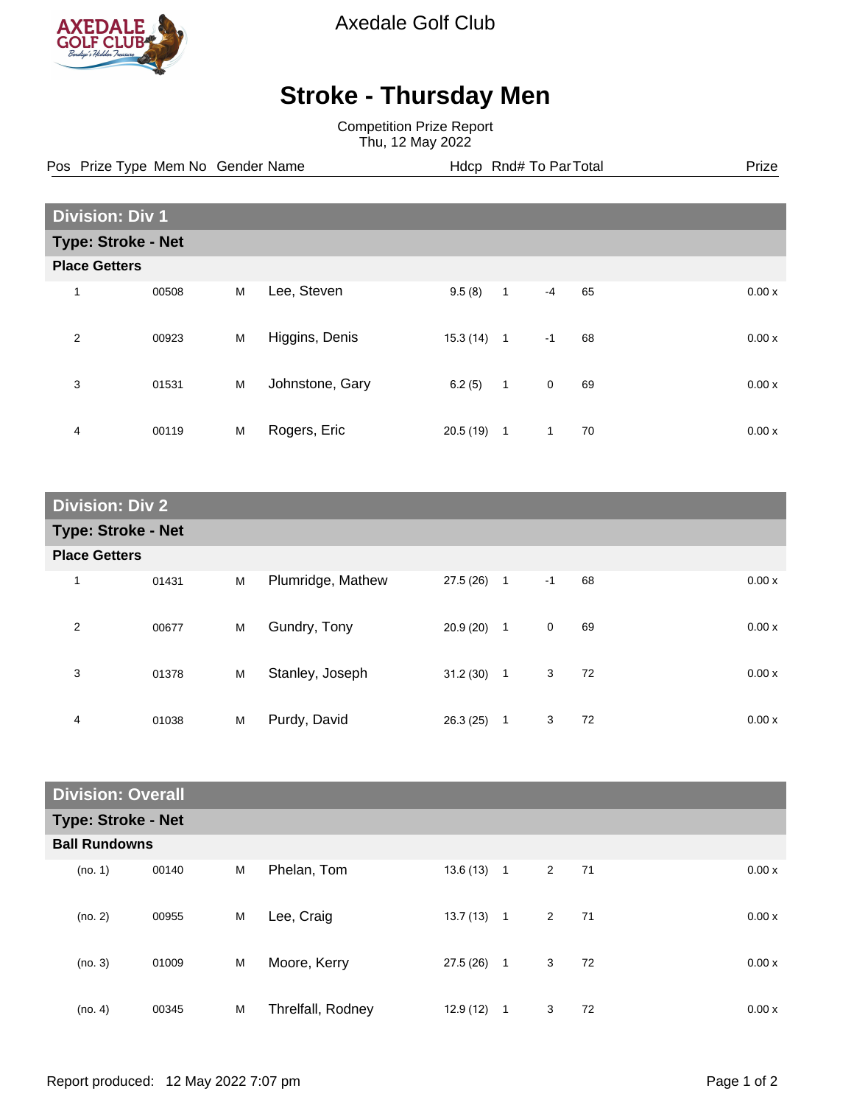

Axedale Golf Club

## **Stroke - Thursday Men**

Competition Prize Report Thu, 12 May 2022

Pos Prize Type Mem No Gender Name **Health Hotel Rnd# To ParTotal** Prize

| <b>Division: Div 1</b>    |                      |   |                 |          |              |              |    |  |       |
|---------------------------|----------------------|---|-----------------|----------|--------------|--------------|----|--|-------|
| <b>Type: Stroke - Net</b> |                      |   |                 |          |              |              |    |  |       |
|                           | <b>Place Getters</b> |   |                 |          |              |              |    |  |       |
| 1                         | 00508                | M | Lee, Steven     | 9.5(8)   | $\mathbf{1}$ | $-4$         | 65 |  | 0.00x |
| $\overline{2}$            | 00923                | M | Higgins, Denis  | 15.3(14) | $\mathbf{1}$ | $-1$         | 68 |  | 0.00x |
| 3                         | 01531                | M | Johnstone, Gary | 6.2(5)   | $\mathbf{1}$ | $\mathbf 0$  | 69 |  | 0.00x |
| 4                         | 00119                | M | Rogers, Eric    | 20.5(19) | $\mathbf{1}$ | $\mathbf{1}$ | 70 |  | 0.00x |

| <b>Division: Div 2</b>    |       |   |                   |              |                |      |    |  |       |
|---------------------------|-------|---|-------------------|--------------|----------------|------|----|--|-------|
| <b>Type: Stroke - Net</b> |       |   |                   |              |                |      |    |  |       |
| <b>Place Getters</b>      |       |   |                   |              |                |      |    |  |       |
| 1                         | 01431 | M | Plumridge, Mathew | $27.5(26)$ 1 |                | $-1$ | 68 |  | 0.00x |
| 2                         | 00677 | M | Gundry, Tony      | $20.9(20)$ 1 |                | 0    | 69 |  | 0.00x |
| 3                         | 01378 | M | Stanley, Joseph   | 31.2(30)     | $\overline{1}$ | 3    | 72 |  | 0.00x |
| 4                         | 01038 | M | Purdy, David      | 26.3(25)     | $\mathbf{1}$   | 3    | 72 |  | 0.00x |

| <b>Division: Overall</b>  |                      |   |                   |           |                |             |    |       |  |
|---------------------------|----------------------|---|-------------------|-----------|----------------|-------------|----|-------|--|
| <b>Type: Stroke - Net</b> |                      |   |                   |           |                |             |    |       |  |
|                           | <b>Ball Rundowns</b> |   |                   |           |                |             |    |       |  |
| (no. 1)                   | 00140                | M | Phelan, Tom       | 13.6(13)  | $\overline{1}$ | 2           | 71 | 0.00x |  |
| (no. 2)                   | 00955                | M | Lee, Craig        | 13.7 (13) | $\mathbf{1}$   | $2^{\circ}$ | 71 | 0.00x |  |
| (no. 3)                   | 01009                | M | Moore, Kerry      | 27.5(26)  | $\mathbf{1}$   | $3^{\circ}$ | 72 | 0.00x |  |
| (no. 4)                   | 00345                | M | Threlfall, Rodney | 12.9(12)  | $\overline{1}$ | 3           | 72 | 0.00x |  |